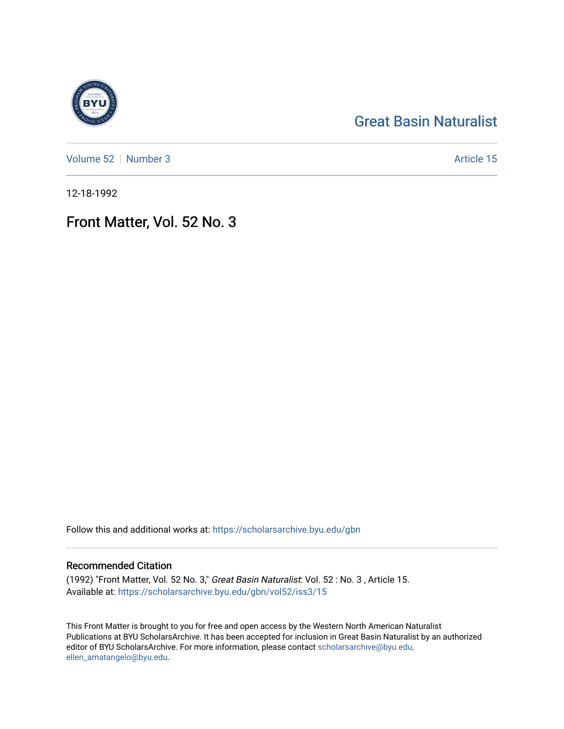# [Great Basin Naturalist](https://scholarsarchive.byu.edu/gbn)

[Volume 52](https://scholarsarchive.byu.edu/gbn/vol52) [Number 3](https://scholarsarchive.byu.edu/gbn/vol52/iss3) Article 15

12-18-1992

## Front Matter, Vol. 52 No. 3

Follow this and additional works at: [https://scholarsarchive.byu.edu/gbn](https://scholarsarchive.byu.edu/gbn?utm_source=scholarsarchive.byu.edu%2Fgbn%2Fvol52%2Fiss3%2F15&utm_medium=PDF&utm_campaign=PDFCoverPages) 

## Recommended Citation

(1992) "Front Matter, Vol. 52 No. 3," Great Basin Naturalist: Vol. 52 : No. 3 , Article 15. Available at: [https://scholarsarchive.byu.edu/gbn/vol52/iss3/15](https://scholarsarchive.byu.edu/gbn/vol52/iss3/15?utm_source=scholarsarchive.byu.edu%2Fgbn%2Fvol52%2Fiss3%2F15&utm_medium=PDF&utm_campaign=PDFCoverPages) 

This Front Matter is brought to you for free and open access by the Western North American Naturalist Publications at BYU ScholarsArchive. It has been accepted for inclusion in Great Basin Naturalist by an authorized editor of BYU ScholarsArchive. For more information, please contact [scholarsarchive@byu.edu,](mailto:scholarsarchive@byu.edu,%20ellen_amatangelo@byu.edu) [ellen\\_amatangelo@byu.edu](mailto:scholarsarchive@byu.edu,%20ellen_amatangelo@byu.edu).

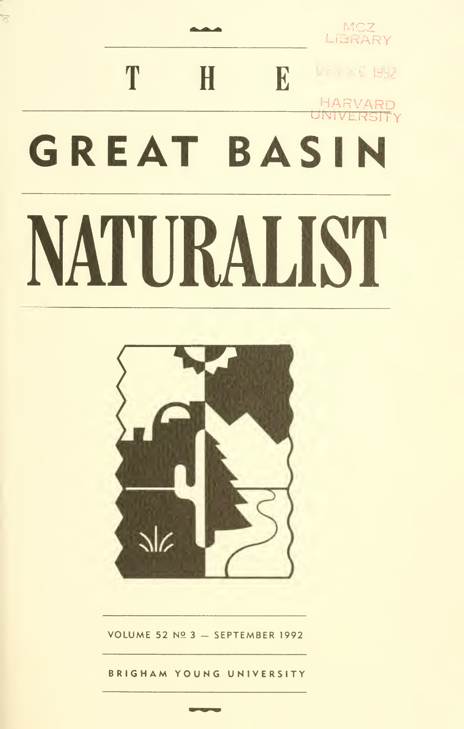

 $\overline{\mathbb{X}}$ 



VOLUME 52 Nº 3 - SEPTEMBER 1992

BRIGHAM YOUNG UNIVERSITY